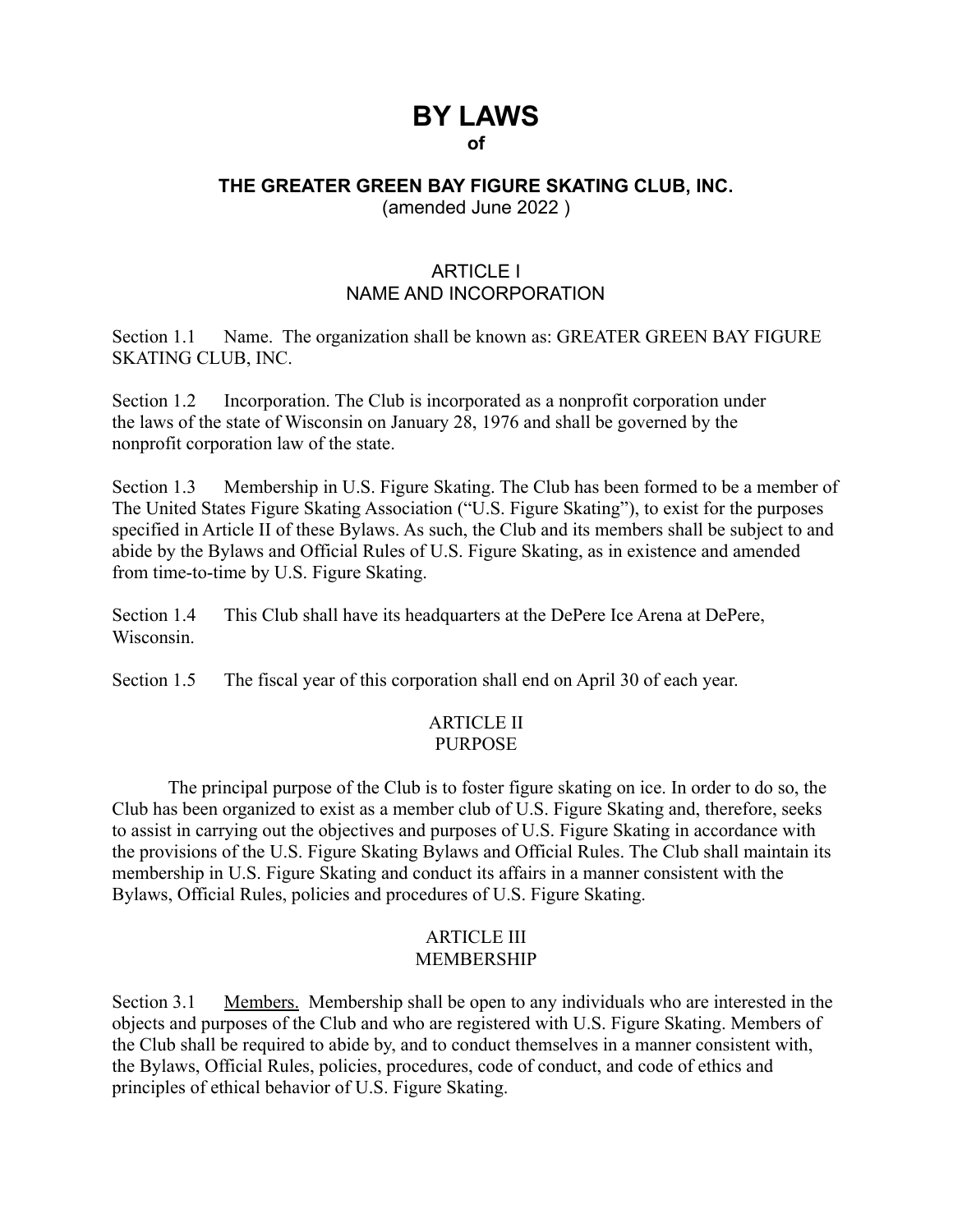# **BY LAWS of**

## **THE GREATER GREEN BAY FIGURE SKATING CLUB, INC.** (amended June 2022 )

## ARTICLE I NAME AND INCORPORATION

Section 1.1 Name. The organization shall be known as: GREATER GREEN BAY FIGURE SKATING CLUB, INC.

Section 1.2 Incorporation. The Club is incorporated as a nonprofit corporation under the laws of the state of Wisconsin on January 28, 1976 and shall be governed by the nonprofit corporation law of the state.

Section 1.3 Membership in U.S. Figure Skating. The Club has been formed to be a member of The United States Figure Skating Association ("U.S. Figure Skating"), to exist for the purposes specified in Article II of these Bylaws. As such, the Club and its members shall be subject to and abide by the Bylaws and Official Rules of U.S. Figure Skating, as in existence and amended from time-to-time by U.S. Figure Skating.

Section 1.4 This Club shall have its headquarters at the DePere Ice Arena at DePere, Wisconsin.

Section 1.5 The fiscal year of this corporation shall end on April 30 of each year.

## ARTICLE II PURPOSE

The principal purpose of the Club is to foster figure skating on ice. In order to do so, the Club has been organized to exist as a member club of U.S. Figure Skating and, therefore, seeks to assist in carrying out the objectives and purposes of U.S. Figure Skating in accordance with the provisions of the U.S. Figure Skating Bylaws and Official Rules. The Club shall maintain its membership in U.S. Figure Skating and conduct its affairs in a manner consistent with the Bylaws, Official Rules, policies and procedures of U.S. Figure Skating.

## ARTICLE III MEMBERSHIP

Section 3.1 Members. Membership shall be open to any individuals who are interested in the objects and purposes of the Club and who are registered with U.S. Figure Skating. Members of the Club shall be required to abide by, and to conduct themselves in a manner consistent with, the Bylaws, Official Rules, policies, procedures, code of conduct, and code of ethics and principles of ethical behavior of U.S. Figure Skating.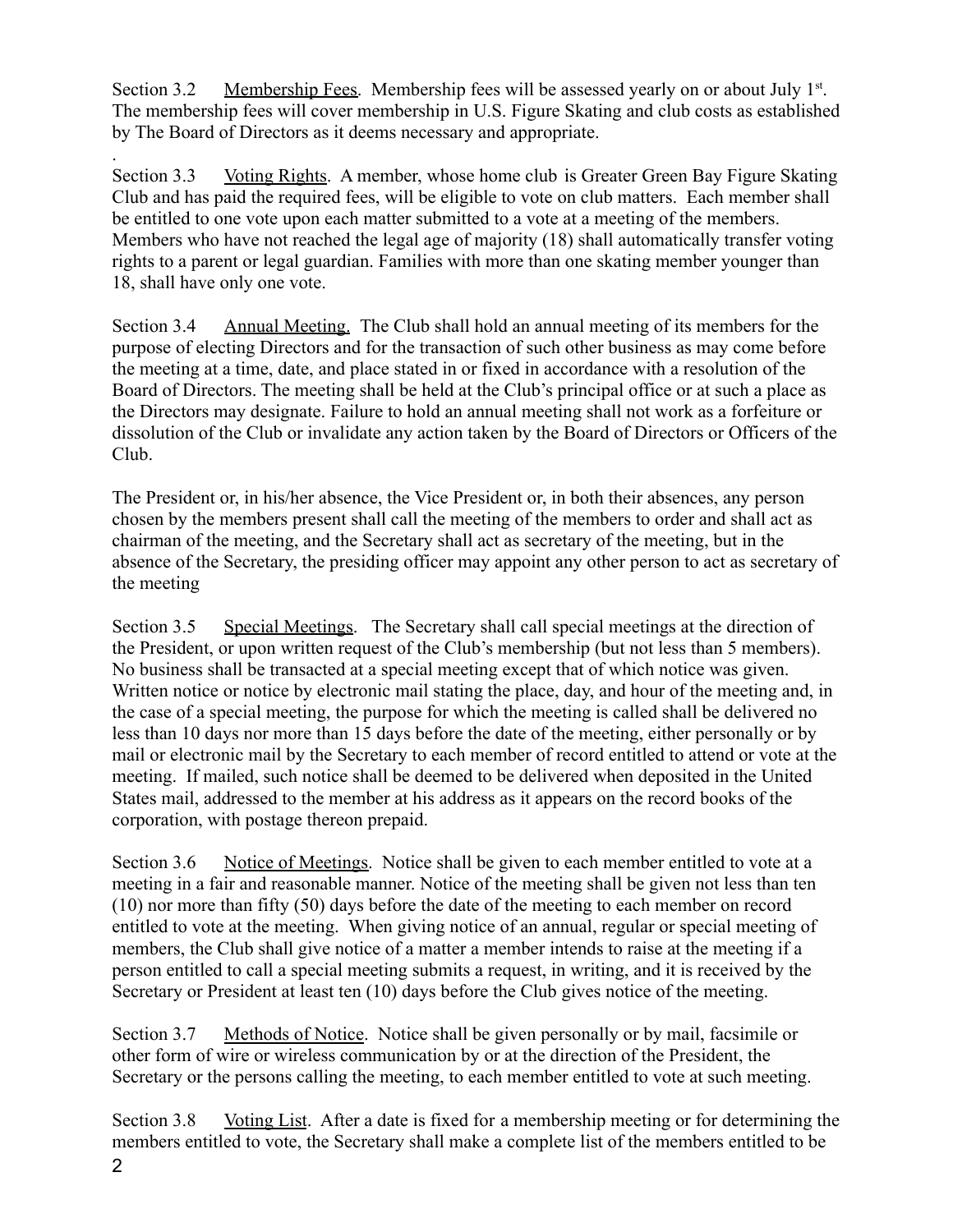Section 3.2 Membership Fees. Membership fees will be assessed yearly on or about July 1<sup>st</sup>. The membership fees will cover membership in U.S. Figure Skating and club costs as established by The Board of Directors as it deems necessary and appropriate.

. Section 3.3 Voting Rights. A member, whose home club is Greater Green Bay Figure Skating Club and has paid the required fees, will be eligible to vote on club matters. Each member shall be entitled to one vote upon each matter submitted to a vote at a meeting of the members. Members who have not reached the legal age of majority (18) shall automatically transfer voting rights to a parent or legal guardian. Families with more than one skating member younger than 18, shall have only one vote.

Section 3.4 Annual Meeting. The Club shall hold an annual meeting of its members for the purpose of electing Directors and for the transaction of such other business as may come before the meeting at a time, date, and place stated in or fixed in accordance with a resolution of the Board of Directors. The meeting shall be held at the Club's principal office or at such a place as the Directors may designate. Failure to hold an annual meeting shall not work as a forfeiture or dissolution of the Club or invalidate any action taken by the Board of Directors or Officers of the Club.

The President or, in his/her absence, the Vice President or, in both their absences, any person chosen by the members present shall call the meeting of the members to order and shall act as chairman of the meeting, and the Secretary shall act as secretary of the meeting, but in the absence of the Secretary, the presiding officer may appoint any other person to act as secretary of the meeting

Section 3.5 Special Meetings. The Secretary shall call special meetings at the direction of the President, or upon written request of the Club's membership (but not less than 5 members). No business shall be transacted at a special meeting except that of which notice was given. Written notice or notice by electronic mail stating the place, day, and hour of the meeting and, in the case of a special meeting, the purpose for which the meeting is called shall be delivered no less than 10 days nor more than 15 days before the date of the meeting, either personally or by mail or electronic mail by the Secretary to each member of record entitled to attend or vote at the meeting. If mailed, such notice shall be deemed to be delivered when deposited in the United States mail, addressed to the member at his address as it appears on the record books of the corporation, with postage thereon prepaid.

Section 3.6 Notice of Meetings. Notice shall be given to each member entitled to vote at a meeting in a fair and reasonable manner. Notice of the meeting shall be given not less than ten (10) nor more than fifty (50) days before the date of the meeting to each member on record entitled to vote at the meeting. When giving notice of an annual, regular or special meeting of members, the Club shall give notice of a matter a member intends to raise at the meeting if a person entitled to call a special meeting submits a request, in writing, and it is received by the Secretary or President at least ten (10) days before the Club gives notice of the meeting.

Section 3.7 Methods of Notice. Notice shall be given personally or by mail, facsimile or other form of wire or wireless communication by or at the direction of the President, the Secretary or the persons calling the meeting, to each member entitled to vote at such meeting.

Section 3.8 Voting List. After a date is fixed for a membership meeting or for determining the members entitled to vote, the Secretary shall make a complete list of the members entitled to be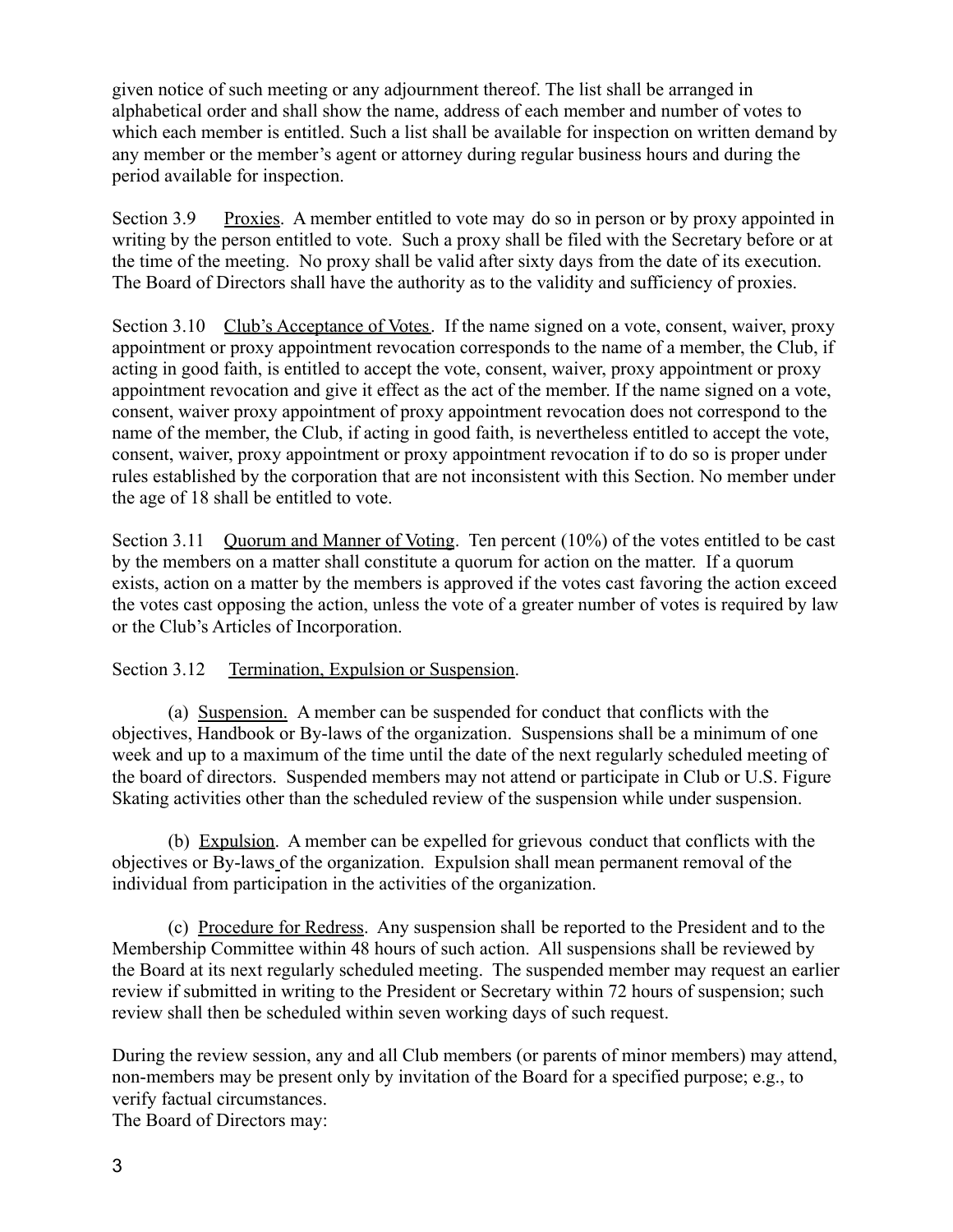given notice of such meeting or any adjournment thereof. The list shall be arranged in alphabetical order and shall show the name, address of each member and number of votes to which each member is entitled. Such a list shall be available for inspection on written demand by any member or the member's agent or attorney during regular business hours and during the period available for inspection.

Section 3.9 Proxies. A member entitled to vote may do so in person or by proxy appointed in writing by the person entitled to vote. Such a proxy shall be filed with the Secretary before or at the time of the meeting. No proxy shall be valid after sixty days from the date of its execution. The Board of Directors shall have the authority as to the validity and sufficiency of proxies.

Section 3.10 Club's Acceptance of Votes. If the name signed on a vote, consent, waiver, proxy appointment or proxy appointment revocation corresponds to the name of a member, the Club, if acting in good faith, is entitled to accept the vote, consent, waiver, proxy appointment or proxy appointment revocation and give it effect as the act of the member. If the name signed on a vote, consent, waiver proxy appointment of proxy appointment revocation does not correspond to the name of the member, the Club, if acting in good faith, is nevertheless entitled to accept the vote, consent, waiver, proxy appointment or proxy appointment revocation if to do so is proper under rules established by the corporation that are not inconsistent with this Section. No member under the age of 18 shall be entitled to vote.

Section 3.11 Quorum and Manner of Voting. Ten percent (10%) of the votes entitled to be cast by the members on a matter shall constitute a quorum for action on the matter. If a quorum exists, action on a matter by the members is approved if the votes cast favoring the action exceed the votes cast opposing the action, unless the vote of a greater number of votes is required by law or the Club's Articles of Incorporation.

## Section 3.12 Termination, Expulsion or Suspension.

(a) Suspension. A member can be suspended for conduct that conflicts with the objectives, Handbook or By-laws of the organization. Suspensions shall be a minimum of one week and up to a maximum of the time until the date of the next regularly scheduled meeting of the board of directors. Suspended members may not attend or participate in Club or U.S. Figure Skating activities other than the scheduled review of the suspension while under suspension.

(b) Expulsion. A member can be expelled for grievous conduct that conflicts with the objectives or By-laws of the organization. Expulsion shall mean permanent removal of the individual from participation in the activities of the organization.

(c) Procedure for Redress. Any suspension shall be reported to the President and to the Membership Committee within 48 hours of such action. All suspensions shall be reviewed by the Board at its next regularly scheduled meeting. The suspended member may request an earlier review if submitted in writing to the President or Secretary within 72 hours of suspension; such review shall then be scheduled within seven working days of such request.

During the review session, any and all Club members (or parents of minor members) may attend, non-members may be present only by invitation of the Board for a specified purpose; e.g., to verify factual circumstances. The Board of Directors may: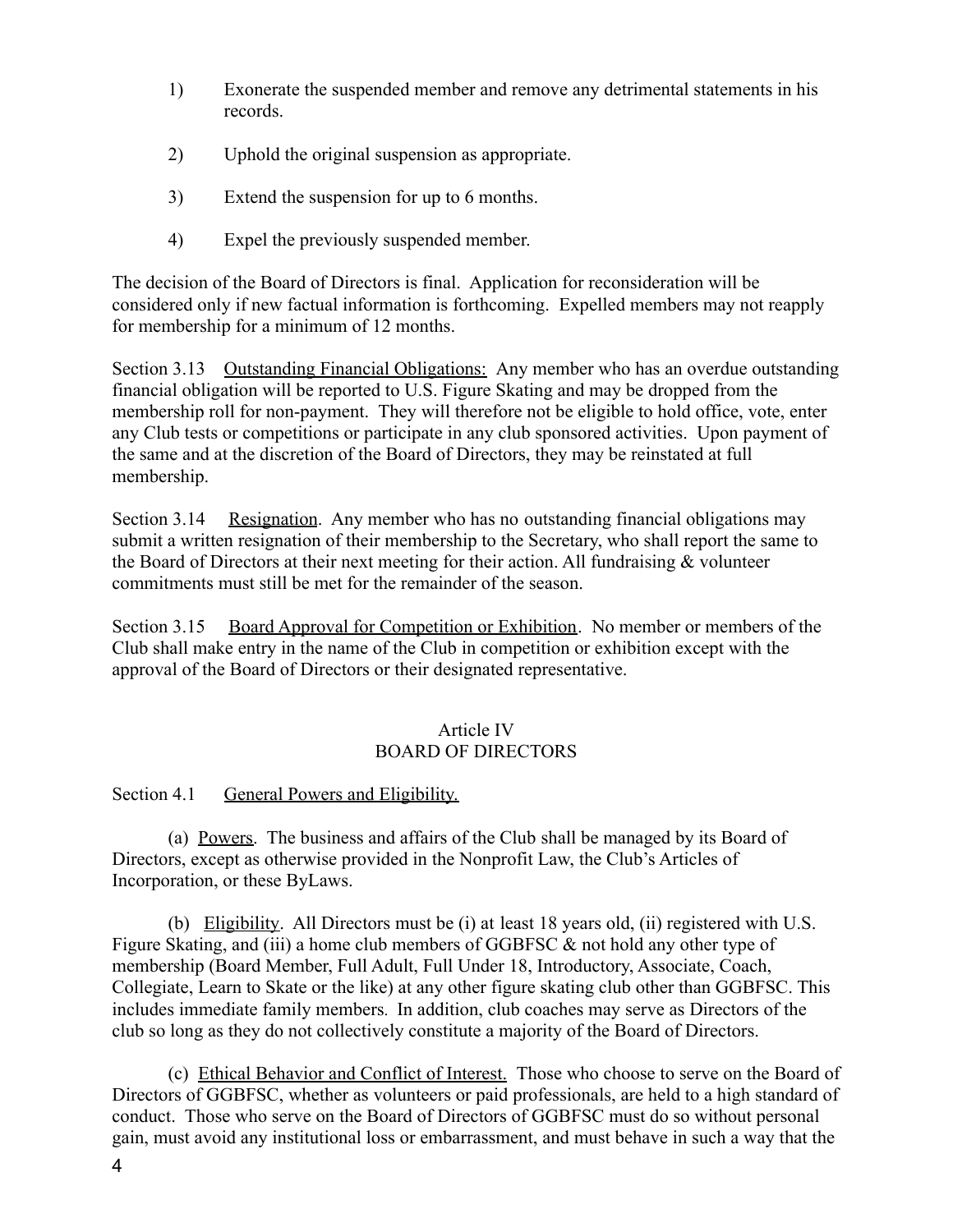- 1) Exonerate the suspended member and remove any detrimental statements in his records.
- 2) Uphold the original suspension as appropriate.
- 3) Extend the suspension for up to 6 months.
- 4) Expel the previously suspended member.

The decision of the Board of Directors is final. Application for reconsideration will be considered only if new factual information is forthcoming. Expelled members may not reapply for membership for a minimum of 12 months.

Section 3.13 Outstanding Financial Obligations: Any member who has an overdue outstanding financial obligation will be reported to U.S. Figure Skating and may be dropped from the membership roll for non-payment. They will therefore not be eligible to hold office, vote, enter any Club tests or competitions or participate in any club sponsored activities. Upon payment of the same and at the discretion of the Board of Directors, they may be reinstated at full membership.

Section 3.14 Resignation. Any member who has no outstanding financial obligations may submit a written resignation of their membership to the Secretary, who shall report the same to the Board of Directors at their next meeting for their action. All fundraising & volunteer commitments must still be met for the remainder of the season.

Section 3.15 Board Approval for Competition or Exhibition. No member or members of the Club shall make entry in the name of the Club in competition or exhibition except with the approval of the Board of Directors or their designated representative.

## Article IV BOARD OF DIRECTORS

Section 4.1 General Powers and Eligibility.

(a) Powers. The business and affairs of the Club shall be managed by its Board of Directors, except as otherwise provided in the Nonprofit Law, the Club's Articles of Incorporation, or these ByLaws.

(b) Eligibility. All Directors must be (i) at least 18 years old, (ii) registered with U.S. Figure Skating, and (iii) a home club members of GGBFSC & not hold any other type of membership (Board Member, Full Adult, Full Under 18, Introductory, Associate, Coach, Collegiate, Learn to Skate or the like) at any other figure skating club other than GGBFSC. This includes immediate family members. In addition, club coaches may serve as Directors of the club so long as they do not collectively constitute a majority of the Board of Directors.

(c) Ethical Behavior and Conflict of Interest. Those who choose to serve on the Board of Directors of GGBFSC, whether as volunteers or paid professionals, are held to a high standard of conduct. Those who serve on the Board of Directors of GGBFSC must do so without personal gain, must avoid any institutional loss or embarrassment, and must behave in such a way that the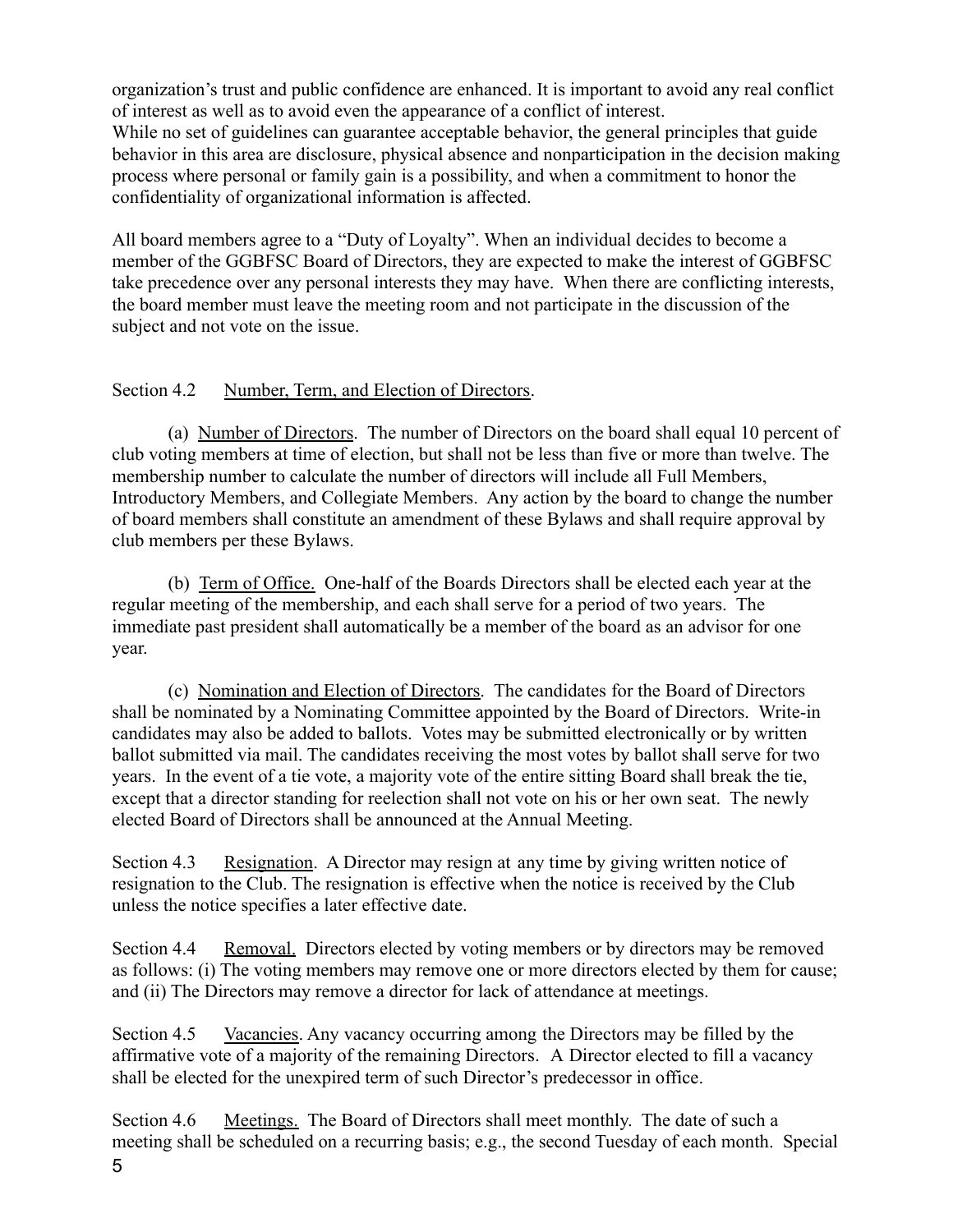organization's trust and public confidence are enhanced. It is important to avoid any real conflict of interest as well as to avoid even the appearance of a conflict of interest. While no set of guidelines can guarantee acceptable behavior, the general principles that guide behavior in this area are disclosure, physical absence and nonparticipation in the decision making process where personal or family gain is a possibility, and when a commitment to honor the confidentiality of organizational information is affected.

All board members agree to a "Duty of Loyalty". When an individual decides to become a member of the GGBFSC Board of Directors, they are expected to make the interest of GGBFSC take precedence over any personal interests they may have. When there are conflicting interests, the board member must leave the meeting room and not participate in the discussion of the subject and not vote on the issue.

# Section 4.2 Number, Term, and Election of Directors.

(a) Number of Directors. The number of Directors on the board shall equal 10 percent of club voting members at time of election, but shall not be less than five or more than twelve. The membership number to calculate the number of directors will include all Full Members, Introductory Members, and Collegiate Members. Any action by the board to change the number of board members shall constitute an amendment of these Bylaws and shall require approval by club members per these Bylaws.

(b) Term of Office. One-half of the Boards Directors shall be elected each year at the regular meeting of the membership, and each shall serve for a period of two years. The immediate past president shall automatically be a member of the board as an advisor for one year.

(c) Nomination and Election of Directors. The candidates for the Board of Directors shall be nominated by a Nominating Committee appointed by the Board of Directors. Write-in candidates may also be added to ballots. Votes may be submitted electronically or by written ballot submitted via mail. The candidates receiving the most votes by ballot shall serve for two years. In the event of a tie vote, a majority vote of the entire sitting Board shall break the tie, except that a director standing for reelection shall not vote on his or her own seat. The newly elected Board of Directors shall be announced at the Annual Meeting.

Section 4.3 Resignation. A Director may resign at any time by giving written notice of resignation to the Club. The resignation is effective when the notice is received by the Club unless the notice specifies a later effective date.

Section 4.4 Removal. Directors elected by voting members or by directors may be removed as follows: (i) The voting members may remove one or more directors elected by them for cause; and (ii) The Directors may remove a director for lack of attendance at meetings.

Section 4.5 Vacancies. Any vacancy occurring among the Directors may be filled by the affirmative vote of a majority of the remaining Directors. A Director elected to fill a vacancy shall be elected for the unexpired term of such Director's predecessor in office.

Section 4.6 Meetings. The Board of Directors shall meet monthly. The date of such a meeting shall be scheduled on a recurring basis; e.g., the second Tuesday of each month. Special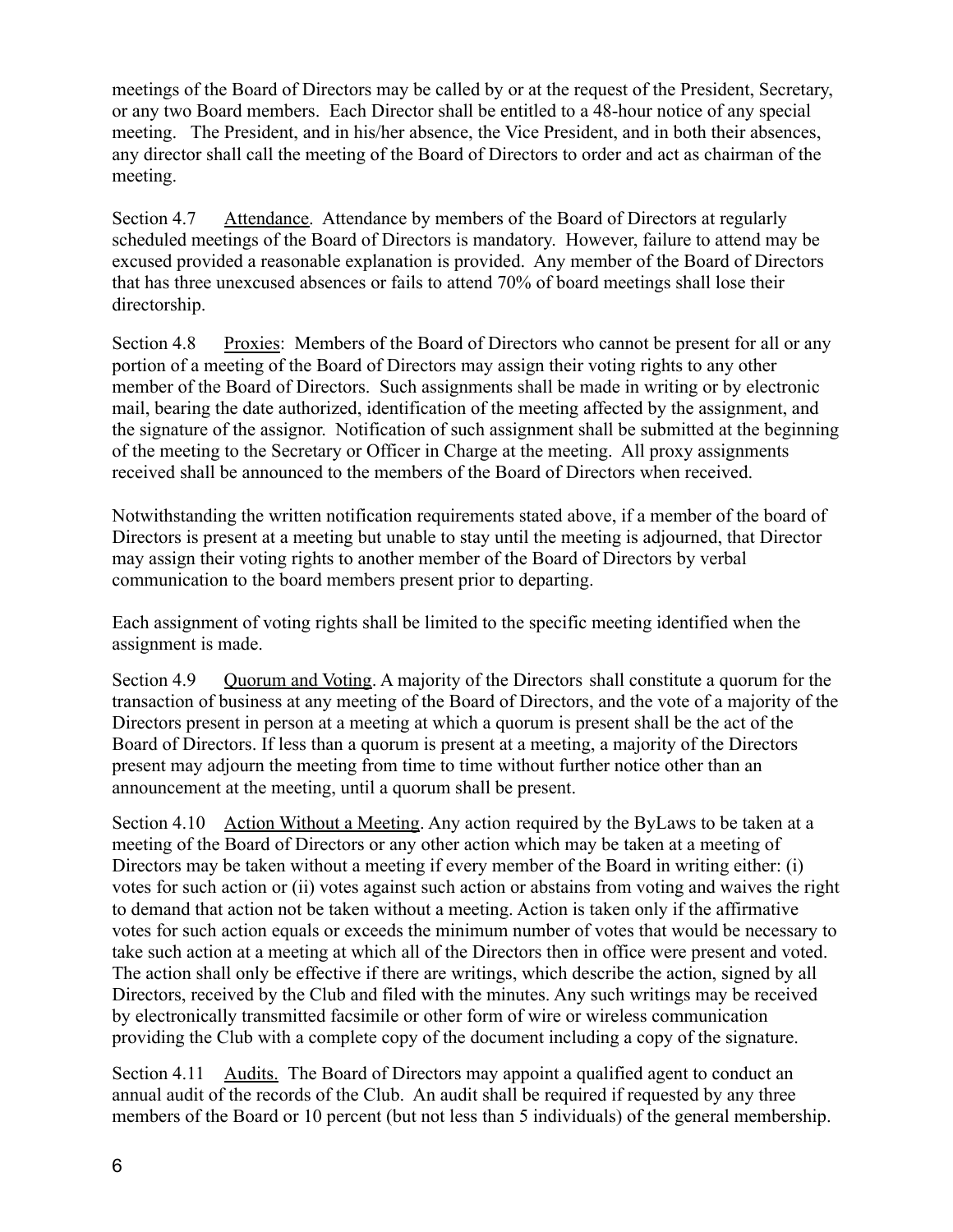meetings of the Board of Directors may be called by or at the request of the President, Secretary, or any two Board members. Each Director shall be entitled to a 48-hour notice of any special meeting. The President, and in his/her absence, the Vice President, and in both their absences, any director shall call the meeting of the Board of Directors to order and act as chairman of the meeting.

Section 4.7 Attendance. Attendance by members of the Board of Directors at regularly scheduled meetings of the Board of Directors is mandatory. However, failure to attend may be excused provided a reasonable explanation is provided. Any member of the Board of Directors that has three unexcused absences or fails to attend 70% of board meetings shall lose their directorship.

Section 4.8 Proxies: Members of the Board of Directors who cannot be present for all or any portion of a meeting of the Board of Directors may assign their voting rights to any other member of the Board of Directors. Such assignments shall be made in writing or by electronic mail, bearing the date authorized, identification of the meeting affected by the assignment, and the signature of the assignor. Notification of such assignment shall be submitted at the beginning of the meeting to the Secretary or Officer in Charge at the meeting. All proxy assignments received shall be announced to the members of the Board of Directors when received.

Notwithstanding the written notification requirements stated above, if a member of the board of Directors is present at a meeting but unable to stay until the meeting is adjourned, that Director may assign their voting rights to another member of the Board of Directors by verbal communication to the board members present prior to departing.

Each assignment of voting rights shall be limited to the specific meeting identified when the assignment is made.

Section 4.9 Quorum and Voting. A majority of the Directors shall constitute a quorum for the transaction of business at any meeting of the Board of Directors, and the vote of a majority of the Directors present in person at a meeting at which a quorum is present shall be the act of the Board of Directors. If less than a quorum is present at a meeting, a majority of the Directors present may adjourn the meeting from time to time without further notice other than an announcement at the meeting, until a quorum shall be present.

Section 4.10 Action Without a Meeting. Any action required by the ByLaws to be taken at a meeting of the Board of Directors or any other action which may be taken at a meeting of Directors may be taken without a meeting if every member of the Board in writing either: (i) votes for such action or (ii) votes against such action or abstains from voting and waives the right to demand that action not be taken without a meeting. Action is taken only if the affirmative votes for such action equals or exceeds the minimum number of votes that would be necessary to take such action at a meeting at which all of the Directors then in office were present and voted. The action shall only be effective if there are writings, which describe the action, signed by all Directors, received by the Club and filed with the minutes. Any such writings may be received by electronically transmitted facsimile or other form of wire or wireless communication providing the Club with a complete copy of the document including a copy of the signature.

Section 4.11 Audits. The Board of Directors may appoint a qualified agent to conduct an annual audit of the records of the Club. An audit shall be required if requested by any three members of the Board or 10 percent (but not less than 5 individuals) of the general membership.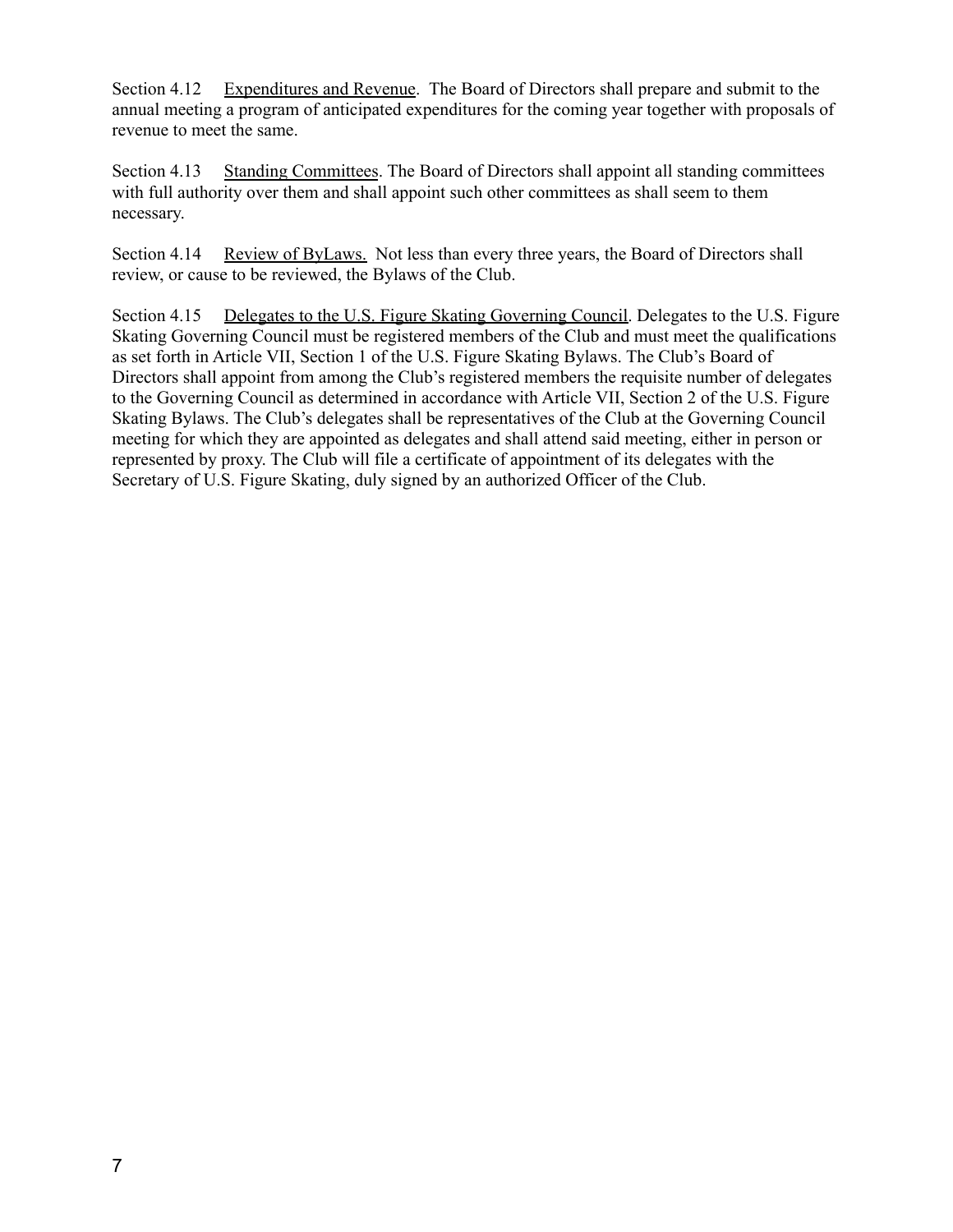Section 4.12 Expenditures and Revenue. The Board of Directors shall prepare and submit to the annual meeting a program of anticipated expenditures for the coming year together with proposals of revenue to meet the same.

Section 4.13 Standing Committees. The Board of Directors shall appoint all standing committees with full authority over them and shall appoint such other committees as shall seem to them necessary.

Section 4.14 Review of ByLaws. Not less than every three years, the Board of Directors shall review, or cause to be reviewed, the Bylaws of the Club.

Section 4.15 Delegates to the U.S. Figure Skating Governing Council. Delegates to the U.S. Figure Skating Governing Council must be registered members of the Club and must meet the qualifications as set forth in Article VII, Section 1 of the U.S. Figure Skating Bylaws. The Club's Board of Directors shall appoint from among the Club's registered members the requisite number of delegates to the Governing Council as determined in accordance with Article VII, Section 2 of the U.S. Figure Skating Bylaws. The Club's delegates shall be representatives of the Club at the Governing Council meeting for which they are appointed as delegates and shall attend said meeting, either in person or represented by proxy. The Club will file a certificate of appointment of its delegates with the Secretary of U.S. Figure Skating, duly signed by an authorized Officer of the Club.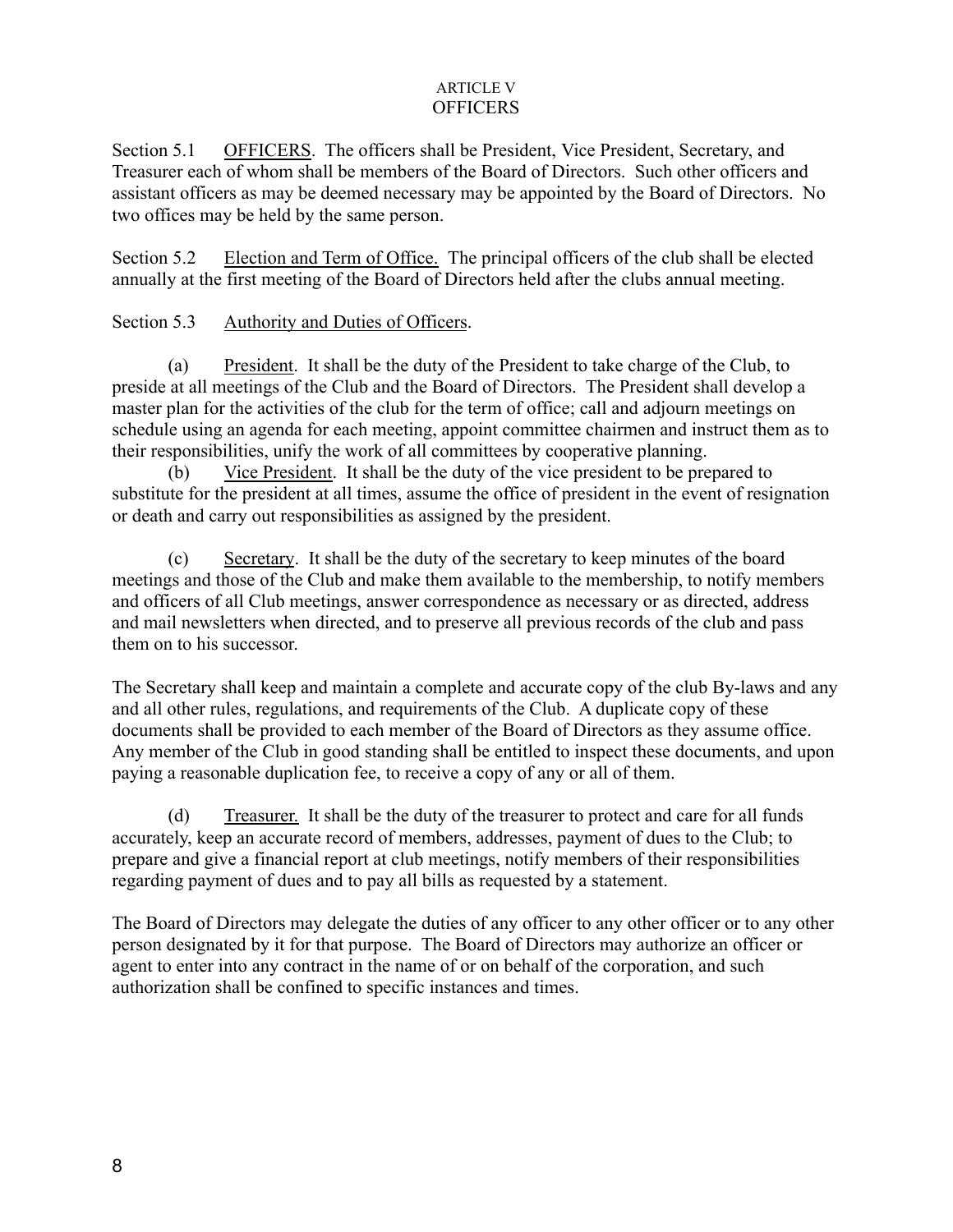#### ARTICLE V **OFFICERS**

Section 5.1 OFFICERS. The officers shall be President, Vice President, Secretary, and Treasurer each of whom shall be members of the Board of Directors. Such other officers and assistant officers as may be deemed necessary may be appointed by the Board of Directors. No two offices may be held by the same person.

Section 5.2 Election and Term of Office. The principal officers of the club shall be elected annually at the first meeting of the Board of Directors held after the clubs annual meeting.

## Section 5.3 Authority and Duties of Officers.

(a) President. It shall be the duty of the President to take charge of the Club, to preside at all meetings of the Club and the Board of Directors. The President shall develop a master plan for the activities of the club for the term of office; call and adjourn meetings on schedule using an agenda for each meeting, appoint committee chairmen and instruct them as to their responsibilities, unify the work of all committees by cooperative planning.

(b) Vice President. It shall be the duty of the vice president to be prepared to substitute for the president at all times, assume the office of president in the event of resignation or death and carry out responsibilities as assigned by the president.

(c) Secretary. It shall be the duty of the secretary to keep minutes of the board meetings and those of the Club and make them available to the membership, to notify members and officers of all Club meetings, answer correspondence as necessary or as directed, address and mail newsletters when directed, and to preserve all previous records of the club and pass them on to his successor.

The Secretary shall keep and maintain a complete and accurate copy of the club By-laws and any and all other rules, regulations, and requirements of the Club. A duplicate copy of these documents shall be provided to each member of the Board of Directors as they assume office. Any member of the Club in good standing shall be entitled to inspect these documents, and upon paying a reasonable duplication fee, to receive a copy of any or all of them.

(d) Treasurer. It shall be the duty of the treasurer to protect and care for all funds accurately, keep an accurate record of members, addresses, payment of dues to the Club; to prepare and give a financial report at club meetings, notify members of their responsibilities regarding payment of dues and to pay all bills as requested by a statement.

The Board of Directors may delegate the duties of any officer to any other officer or to any other person designated by it for that purpose. The Board of Directors may authorize an officer or agent to enter into any contract in the name of or on behalf of the corporation, and such authorization shall be confined to specific instances and times.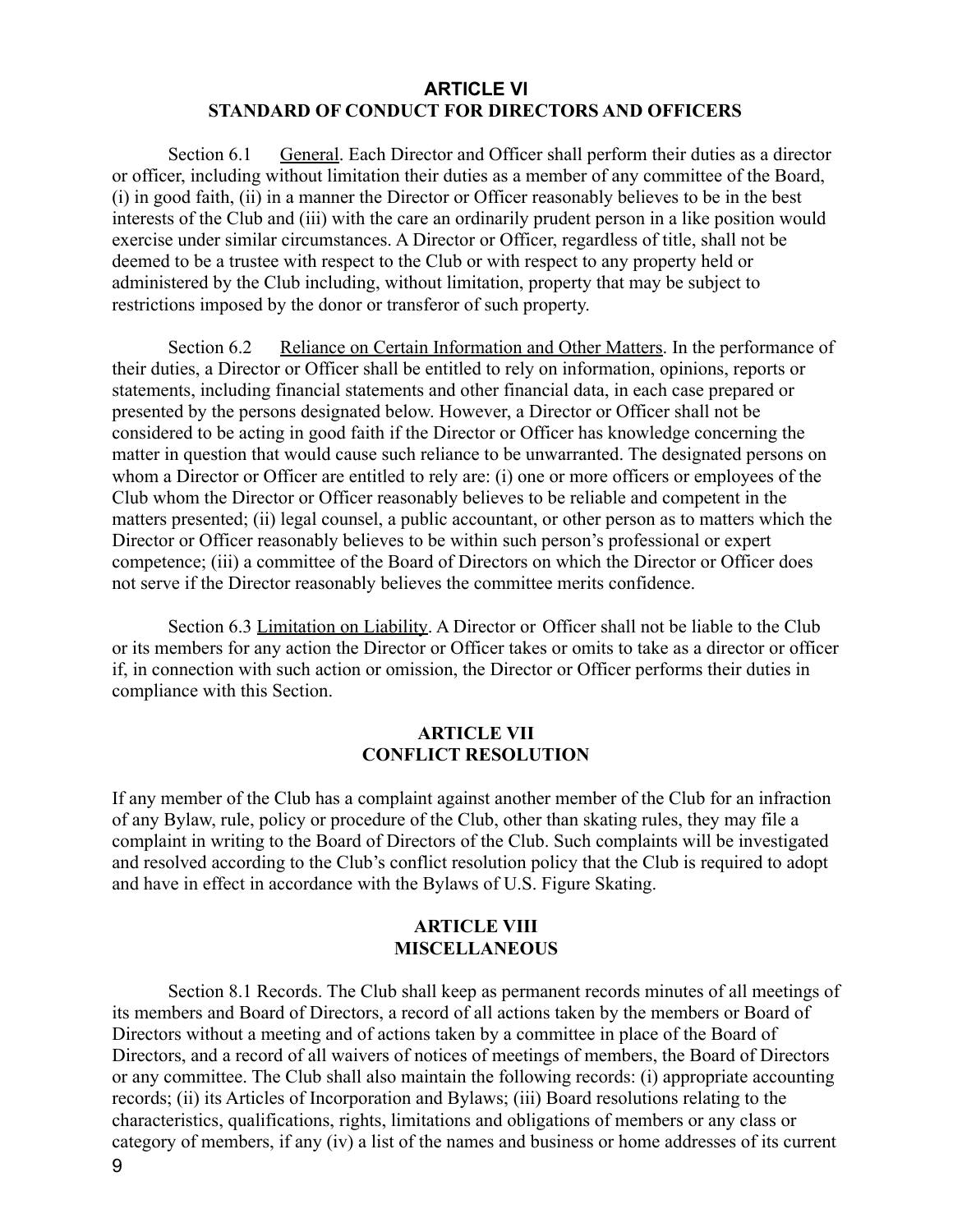#### **ARTICLE VI STANDARD OF CONDUCT FOR DIRECTORS AND OFFICERS**

Section 6.1 General. Each Director and Officer shall perform their duties as a director or officer, including without limitation their duties as a member of any committee of the Board, (i) in good faith, (ii) in a manner the Director or Officer reasonably believes to be in the best interests of the Club and (iii) with the care an ordinarily prudent person in a like position would exercise under similar circumstances. A Director or Officer, regardless of title, shall not be deemed to be a trustee with respect to the Club or with respect to any property held or administered by the Club including, without limitation, property that may be subject to restrictions imposed by the donor or transferor of such property.

Section 6.2 Reliance on Certain Information and Other Matters. In the performance of their duties, a Director or Officer shall be entitled to rely on information, opinions, reports or statements, including financial statements and other financial data, in each case prepared or presented by the persons designated below. However, a Director or Officer shall not be considered to be acting in good faith if the Director or Officer has knowledge concerning the matter in question that would cause such reliance to be unwarranted. The designated persons on whom a Director or Officer are entitled to rely are: (i) one or more officers or employees of the Club whom the Director or Officer reasonably believes to be reliable and competent in the matters presented; (ii) legal counsel, a public accountant, or other person as to matters which the Director or Officer reasonably believes to be within such person's professional or expert competence; (iii) a committee of the Board of Directors on which the Director or Officer does not serve if the Director reasonably believes the committee merits confidence.

Section 6.3 Limitation on Liability. A Director or Officer shall not be liable to the Club or its members for any action the Director or Officer takes or omits to take as a director or officer if, in connection with such action or omission, the Director or Officer performs their duties in compliance with this Section.

#### **ARTICLE VII CONFLICT RESOLUTION**

If any member of the Club has a complaint against another member of the Club for an infraction of any Bylaw, rule, policy or procedure of the Club, other than skating rules, they may file a complaint in writing to the Board of Directors of the Club. Such complaints will be investigated and resolved according to the Club's conflict resolution policy that the Club is required to adopt and have in effect in accordance with the Bylaws of U.S. Figure Skating.

#### **ARTICLE VIII MISCELLANEOUS**

Section 8.1 Records. The Club shall keep as permanent records minutes of all meetings of its members and Board of Directors, a record of all actions taken by the members or Board of Directors without a meeting and of actions taken by a committee in place of the Board of Directors, and a record of all waivers of notices of meetings of members, the Board of Directors or any committee. The Club shall also maintain the following records: (i) appropriate accounting records; (ii) its Articles of Incorporation and Bylaws; (iii) Board resolutions relating to the characteristics, qualifications, rights, limitations and obligations of members or any class or category of members, if any (iv) a list of the names and business or home addresses of its current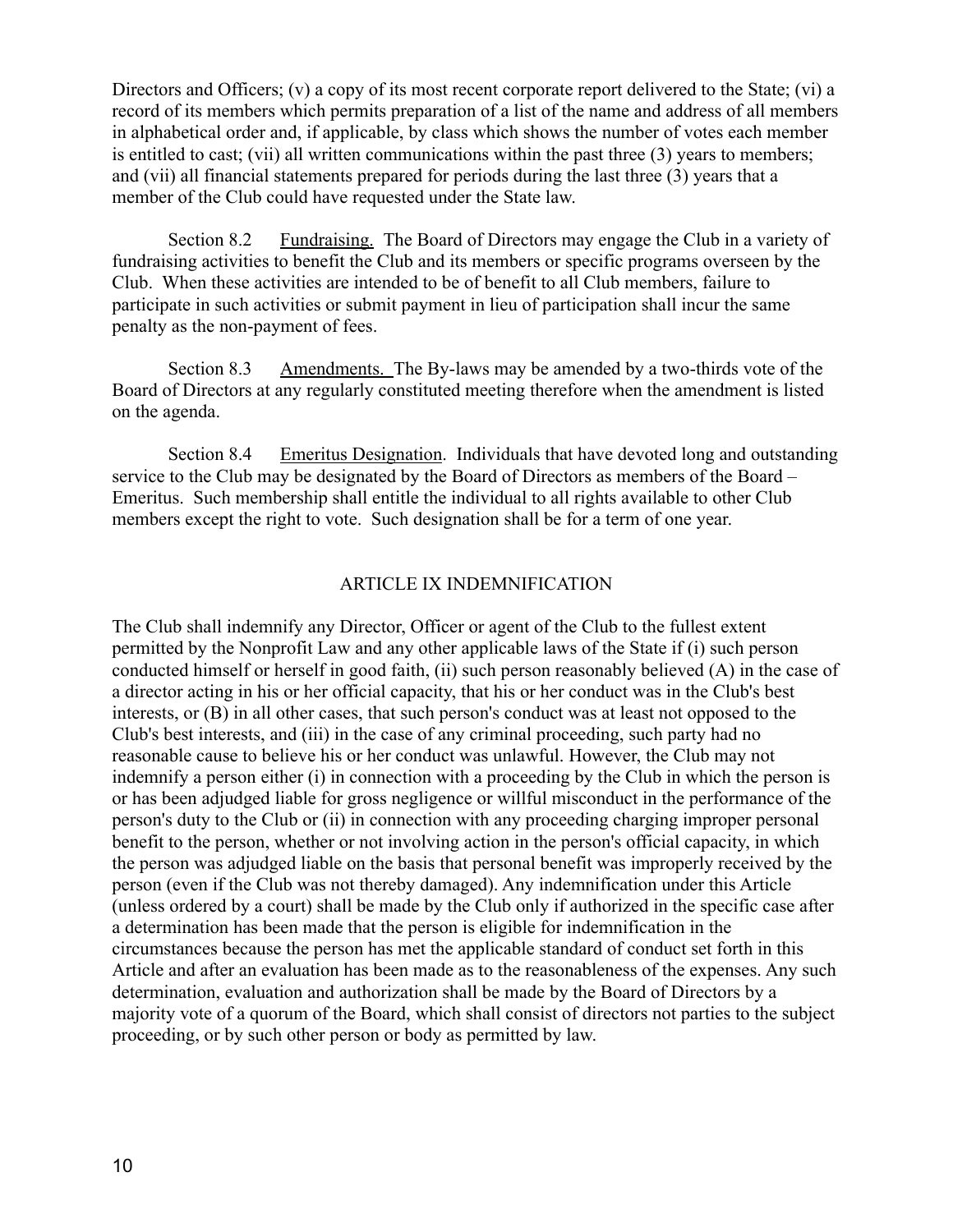Directors and Officers; (v) a copy of its most recent corporate report delivered to the State; (vi) a record of its members which permits preparation of a list of the name and address of all members in alphabetical order and, if applicable, by class which shows the number of votes each member is entitled to cast; (vii) all written communications within the past three (3) years to members; and (vii) all financial statements prepared for periods during the last three (3) years that a member of the Club could have requested under the State law.

Section 8.2 Fundraising. The Board of Directors may engage the Club in a variety of fundraising activities to benefit the Club and its members or specific programs overseen by the Club. When these activities are intended to be of benefit to all Club members, failure to participate in such activities or submit payment in lieu of participation shall incur the same penalty as the non-payment of fees.

Section 8.3 Amendments. The By-laws may be amended by a two-thirds vote of the Board of Directors at any regularly constituted meeting therefore when the amendment is listed on the agenda.

Section 8.4 Emeritus Designation. Individuals that have devoted long and outstanding service to the Club may be designated by the Board of Directors as members of the Board – Emeritus. Such membership shall entitle the individual to all rights available to other Club members except the right to vote. Such designation shall be for a term of one year.

#### ARTICLE IX INDEMNIFICATION

The Club shall indemnify any Director, Officer or agent of the Club to the fullest extent permitted by the Nonprofit Law and any other applicable laws of the State if (i) such person conducted himself or herself in good faith, (ii) such person reasonably believed (A) in the case of a director acting in his or her official capacity, that his or her conduct was in the Club's best interests, or (B) in all other cases, that such person's conduct was at least not opposed to the Club's best interests, and (iii) in the case of any criminal proceeding, such party had no reasonable cause to believe his or her conduct was unlawful. However, the Club may not indemnify a person either (i) in connection with a proceeding by the Club in which the person is or has been adjudged liable for gross negligence or willful misconduct in the performance of the person's duty to the Club or (ii) in connection with any proceeding charging improper personal benefit to the person, whether or not involving action in the person's official capacity, in which the person was adjudged liable on the basis that personal benefit was improperly received by the person (even if the Club was not thereby damaged). Any indemnification under this Article (unless ordered by a court) shall be made by the Club only if authorized in the specific case after a determination has been made that the person is eligible for indemnification in the circumstances because the person has met the applicable standard of conduct set forth in this Article and after an evaluation has been made as to the reasonableness of the expenses. Any such determination, evaluation and authorization shall be made by the Board of Directors by a majority vote of a quorum of the Board, which shall consist of directors not parties to the subject proceeding, or by such other person or body as permitted by law.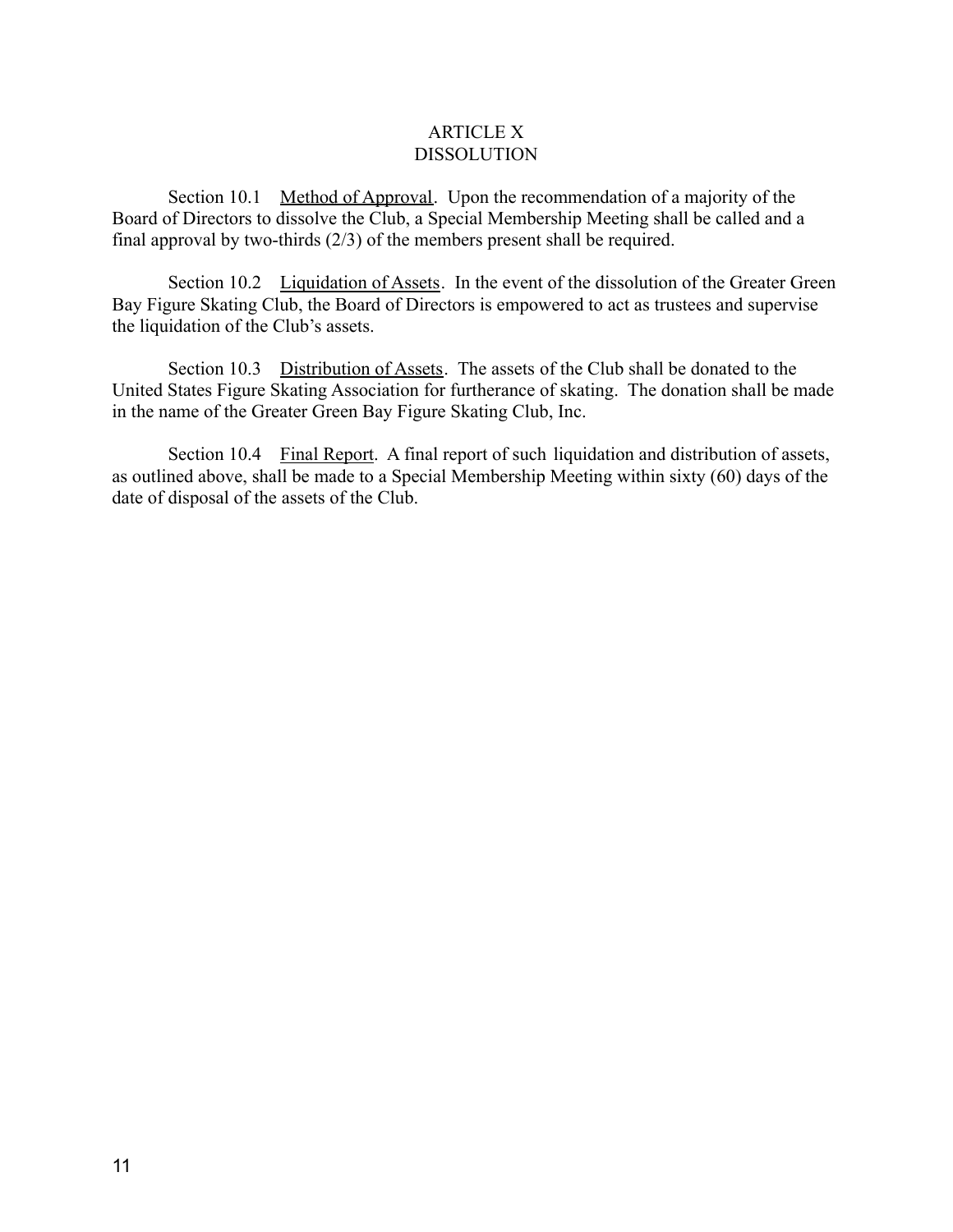#### ARTICLE X DISSOLUTION

Section 10.1 Method of Approval. Upon the recommendation of a majority of the Board of Directors to dissolve the Club, a Special Membership Meeting shall be called and a final approval by two-thirds (2/3) of the members present shall be required.

Section 10.2 Liquidation of Assets. In the event of the dissolution of the Greater Green Bay Figure Skating Club, the Board of Directors is empowered to act as trustees and supervise the liquidation of the Club's assets.

Section 10.3 Distribution of Assets. The assets of the Club shall be donated to the United States Figure Skating Association for furtherance of skating. The donation shall be made in the name of the Greater Green Bay Figure Skating Club, Inc.

Section 10.4 Final Report. A final report of such liquidation and distribution of assets, as outlined above, shall be made to a Special Membership Meeting within sixty (60) days of the date of disposal of the assets of the Club.